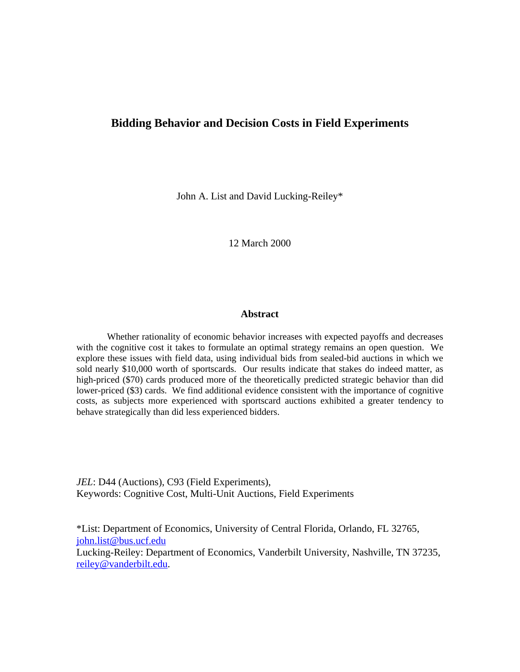# **Bidding Behavior and Decision Costs in Field Experiments**

John A. List and David Lucking-Reiley\*

12 March 2000

### **Abstract**

Whether rationality of economic behavior increases with expected payoffs and decreases with the cognitive cost it takes to formulate an optimal strategy remains an open question. We explore these issues with field data, using individual bids from sealed-bid auctions in which we sold nearly \$10,000 worth of sportscards. Our results indicate that stakes do indeed matter, as high-priced (\$70) cards produced more of the theoretically predicted strategic behavior than did lower-priced (\$3) cards. We find additional evidence consistent with the importance of cognitive costs, as subjects more experienced with sportscard auctions exhibited a greater tendency to behave strategically than did less experienced bidders.

*JEL*: D44 (Auctions), C93 (Field Experiments), Keywords: Cognitive Cost, Multi-Unit Auctions, Field Experiments

\*List: Department of Economics, University of Central Florida, Orlando, FL 32765, john.list@bus.ucf.edu

Lucking-Reiley: Department of Economics, Vanderbilt University, Nashville, TN 37235, reiley@vanderbilt.edu.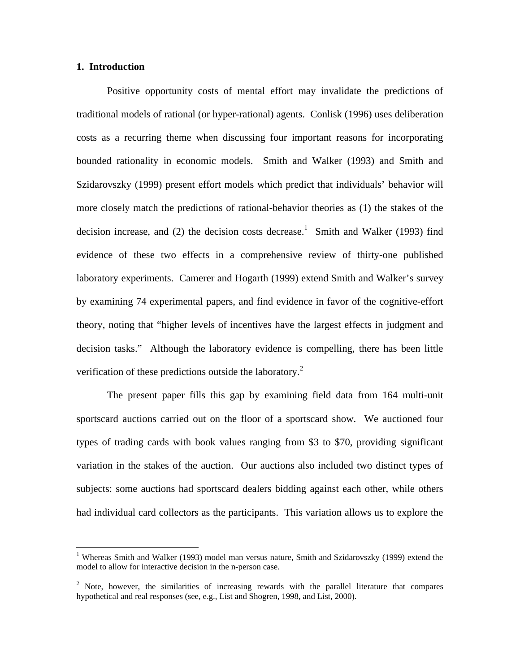### **1. Introduction**

 $\overline{a}$ 

Positive opportunity costs of mental effort may invalidate the predictions of traditional models of rational (or hyper-rational) agents. Conlisk (1996) uses deliberation costs as a recurring theme when discussing four important reasons for incorporating bounded rationality in economic models. Smith and Walker (1993) and Smith and Szidarovszky (1999) present effort models which predict that individuals' behavior will more closely match the predictions of rational-behavior theories as (1) the stakes of the decision increase, and (2) the decision costs decrease.<sup>1</sup> Smith and Walker (1993) find evidence of these two effects in a comprehensive review of thirty-one published laboratory experiments. Camerer and Hogarth (1999) extend Smith and Walker's survey by examining 74 experimental papers, and find evidence in favor of the cognitive-effort theory, noting that "higher levels of incentives have the largest effects in judgment and decision tasks." Although the laboratory evidence is compelling, there has been little verification of these predictions outside the laboratory.<sup>2</sup>

The present paper fills this gap by examining field data from 164 multi-unit sportscard auctions carried out on the floor of a sportscard show. We auctioned four types of trading cards with book values ranging from \$3 to \$70, providing significant variation in the stakes of the auction. Our auctions also included two distinct types of subjects: some auctions had sportscard dealers bidding against each other, while others had individual card collectors as the participants. This variation allows us to explore the

<sup>&</sup>lt;sup>1</sup> Whereas Smith and Walker (1993) model man versus nature, Smith and Szidarovszky (1999) extend the model to allow for interactive decision in the n-person case.

<sup>&</sup>lt;sup>2</sup> Note, however, the similarities of increasing rewards with the parallel literature that compares hypothetical and real responses (see, e.g., List and Shogren, 1998, and List, 2000).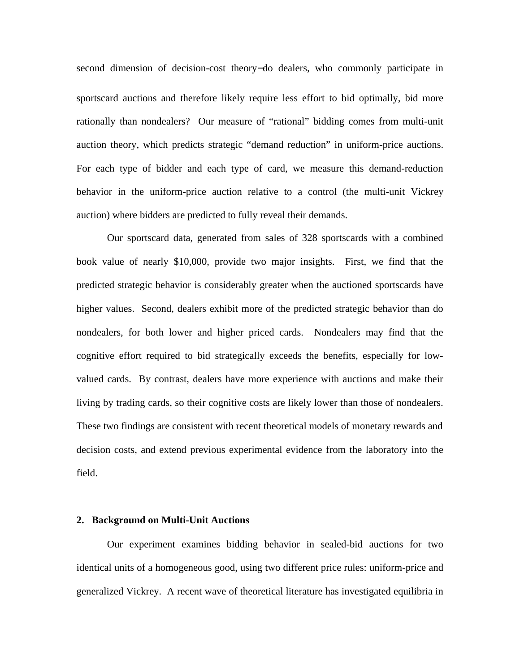second dimension of decision-cost theory−do dealers, who commonly participate in sportscard auctions and therefore likely require less effort to bid optimally, bid more rationally than nondealers? Our measure of "rational" bidding comes from multi-unit auction theory, which predicts strategic "demand reduction" in uniform-price auctions. For each type of bidder and each type of card, we measure this demand-reduction behavior in the uniform-price auction relative to a control (the multi-unit Vickrey auction) where bidders are predicted to fully reveal their demands.

Our sportscard data, generated from sales of 328 sportscards with a combined book value of nearly \$10,000, provide two major insights. First, we find that the predicted strategic behavior is considerably greater when the auctioned sportscards have higher values. Second, dealers exhibit more of the predicted strategic behavior than do nondealers, for both lower and higher priced cards. Nondealers may find that the cognitive effort required to bid strategically exceeds the benefits, especially for lowvalued cards. By contrast, dealers have more experience with auctions and make their living by trading cards, so their cognitive costs are likely lower than those of nondealers. These two findings are consistent with recent theoretical models of monetary rewards and decision costs, and extend previous experimental evidence from the laboratory into the field.

### **2. Background on Multi-Unit Auctions**

Our experiment examines bidding behavior in sealed-bid auctions for two identical units of a homogeneous good, using two different price rules: uniform-price and generalized Vickrey. A recent wave of theoretical literature has investigated equilibria in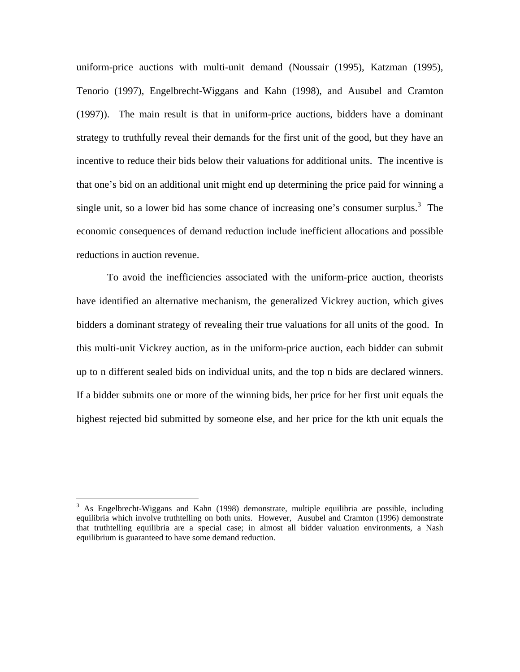uniform-price auctions with multi-unit demand (Noussair (1995), Katzman (1995), Tenorio (1997), Engelbrecht-Wiggans and Kahn (1998), and Ausubel and Cramton (1997)). The main result is that in uniform-price auctions, bidders have a dominant strategy to truthfully reveal their demands for the first unit of the good, but they have an incentive to reduce their bids below their valuations for additional units. The incentive is that one's bid on an additional unit might end up determining the price paid for winning a single unit, so a lower bid has some chance of increasing one's consumer surplus.<sup>3</sup> The economic consequences of demand reduction include inefficient allocations and possible reductions in auction revenue.

To avoid the inefficiencies associated with the uniform-price auction, theorists have identified an alternative mechanism, the generalized Vickrey auction, which gives bidders a dominant strategy of revealing their true valuations for all units of the good. In this multi-unit Vickrey auction, as in the uniform-price auction, each bidder can submit up to n different sealed bids on individual units, and the top n bids are declared winners. If a bidder submits one or more of the winning bids, her price for her first unit equals the highest rejected bid submitted by someone else, and her price for the kth unit equals the

<sup>&</sup>lt;sup>3</sup> As Engelbrecht-Wiggans and Kahn (1998) demonstrate, multiple equilibria are possible, including equilibria which involve truthtelling on both units. However, Ausubel and Cramton (1996) demonstrate that truthtelling equilibria are a special case; in almost all bidder valuation environments, a Nash equilibrium is guaranteed to have some demand reduction.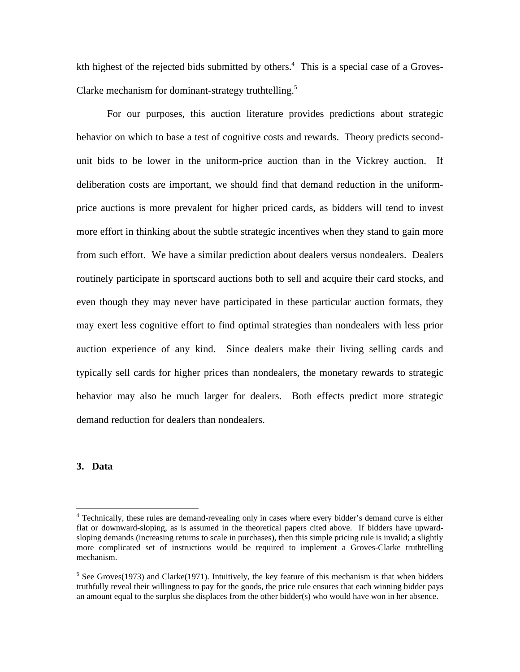kth highest of the rejected bids submitted by others.<sup>4</sup> This is a special case of a Groves-Clarke mechanism for dominant-strategy truthtelling.<sup>5</sup>

For our purposes, this auction literature provides predictions about strategic behavior on which to base a test of cognitive costs and rewards. Theory predicts secondunit bids to be lower in the uniform-price auction than in the Vickrey auction. If deliberation costs are important, we should find that demand reduction in the uniformprice auctions is more prevalent for higher priced cards, as bidders will tend to invest more effort in thinking about the subtle strategic incentives when they stand to gain more from such effort. We have a similar prediction about dealers versus nondealers. Dealers routinely participate in sportscard auctions both to sell and acquire their card stocks, and even though they may never have participated in these particular auction formats, they may exert less cognitive effort to find optimal strategies than nondealers with less prior auction experience of any kind. Since dealers make their living selling cards and typically sell cards for higher prices than nondealers, the monetary rewards to strategic behavior may also be much larger for dealers. Both effects predict more strategic demand reduction for dealers than nondealers.

### **3. Data**

<sup>&</sup>lt;sup>4</sup> Technically, these rules are demand-revealing only in cases where every bidder's demand curve is either flat or downward-sloping, as is assumed in the theoretical papers cited above. If bidders have upwardsloping demands (increasing returns to scale in purchases), then this simple pricing rule is invalid; a slightly more complicated set of instructions would be required to implement a Groves-Clarke truthtelling mechanism.

 $<sup>5</sup>$  See Groves(1973) and Clarke(1971). Intuitively, the key feature of this mechanism is that when bidders</sup> truthfully reveal their willingness to pay for the goods, the price rule ensures that each winning bidder pays an amount equal to the surplus she displaces from the other bidder(s) who would have won in her absence.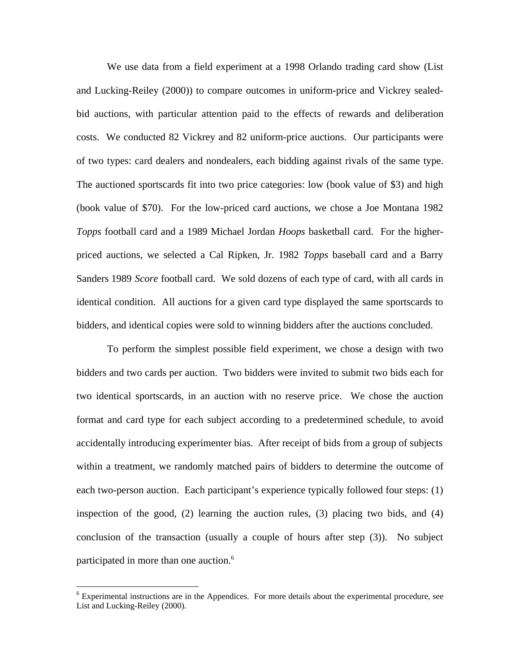We use data from a field experiment at a 1998 Orlando trading card show (List and Lucking-Reiley (2000)) to compare outcomes in uniform-price and Vickrey sealedbid auctions, with particular attention paid to the effects of rewards and deliberation costs. We conducted 82 Vickrey and 82 uniform-price auctions. Our participants were of two types: card dealers and nondealers, each bidding against rivals of the same type. The auctioned sportscards fit into two price categories: low (book value of \$3) and high (book value of \$70). For the low-priced card auctions, we chose a Joe Montana 1982 *Topps* football card and a 1989 Michael Jordan *Hoops* basketball card. For the higherpriced auctions, we selected a Cal Ripken, Jr. 1982 *Topps* baseball card and a Barry Sanders 1989 *Score* football card. We sold dozens of each type of card, with all cards in identical condition. All auctions for a given card type displayed the same sportscards to bidders, and identical copies were sold to winning bidders after the auctions concluded.

To perform the simplest possible field experiment, we chose a design with two bidders and two cards per auction. Two bidders were invited to submit two bids each for two identical sportscards, in an auction with no reserve price. We chose the auction format and card type for each subject according to a predetermined schedule, to avoid accidentally introducing experimenter bias. After receipt of bids from a group of subjects within a treatment, we randomly matched pairs of bidders to determine the outcome of each two-person auction. Each participant's experience typically followed four steps: (1) inspection of the good, (2) learning the auction rules, (3) placing two bids, and (4) conclusion of the transaction (usually a couple of hours after step (3)). No subject participated in more than one auction.<sup>6</sup>

<sup>&</sup>lt;sup>6</sup> Experimental instructions are in the Appendices. For more details about the experimental procedure, see List and Lucking-Reiley (2000).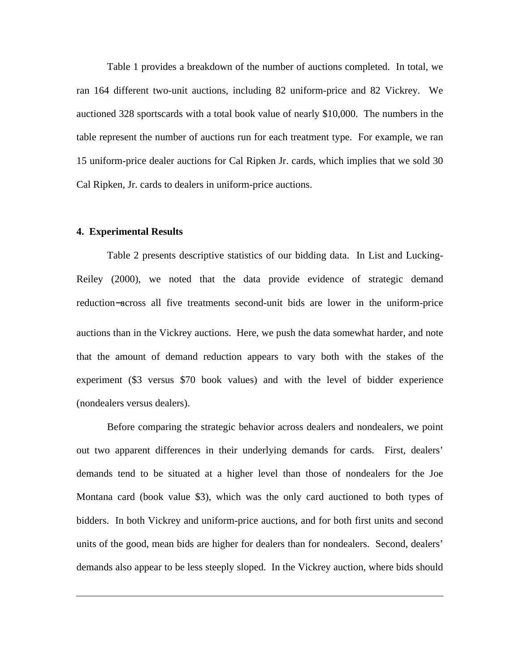Table 1 provides a breakdown of the number of auctions completed. In total, we ran 164 different two-unit auctions, including 82 uniform-price and 82 Vickrey. We auctioned 328 sportscards with a total book value of nearly \$10,000. The numbers in the table represent the number of auctions run for each treatment type. For example, we ran 15 uniform-price dealer auctions for Cal Ripken Jr. cards, which implies that we sold 30 Cal Ripken, Jr. cards to dealers in uniform-price auctions.

#### **4. Experimental Results**

 $\overline{a}$ 

Table 2 presents descriptive statistics of our bidding data. In List and Lucking-Reiley (2000), we noted that the data provide evidence of strategic demand reduction−across all five treatments second-unit bids are lower in the uniform-price auctions than in the Vickrey auctions. Here, we push the data somewhat harder, and note that the amount of demand reduction appears to vary both with the stakes of the experiment (\$3 versus \$70 book values) and with the level of bidder experience (nondealers versus dealers).

Before comparing the strategic behavior across dealers and nondealers, we point out two apparent differences in their underlying demands for cards. First, dealers' demands tend to be situated at a higher level than those of nondealers for the Joe Montana card (book value \$3), which was the only card auctioned to both types of bidders. In both Vickrey and uniform-price auctions, and for both first units and second units of the good, mean bids are higher for dealers than for nondealers. Second, dealers' demands also appear to be less steeply sloped. In the Vickrey auction, where bids should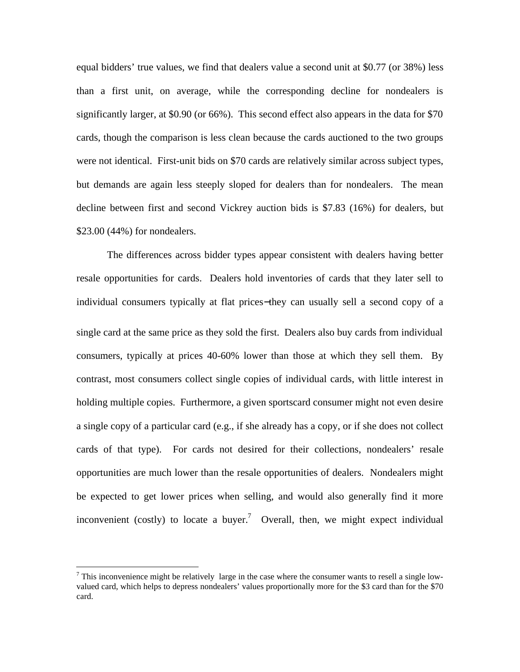equal bidders' true values, we find that dealers value a second unit at \$0.77 (or 38%) less than a first unit, on average, while the corresponding decline for nondealers is significantly larger, at \$0.90 (or 66%). This second effect also appears in the data for \$70 cards, though the comparison is less clean because the cards auctioned to the two groups were not identical. First-unit bids on \$70 cards are relatively similar across subject types, but demands are again less steeply sloped for dealers than for nondealers. The mean decline between first and second Vickrey auction bids is \$7.83 (16%) for dealers, but \$23.00 (44%) for nondealers.

The differences across bidder types appear consistent with dealers having better resale opportunities for cards. Dealers hold inventories of cards that they later sell to individual consumers typically at flat prices−they can usually sell a second copy of a single card at the same price as they sold the first. Dealers also buy cards from individual consumers, typically at prices 40-60% lower than those at which they sell them. By contrast, most consumers collect single copies of individual cards, with little interest in holding multiple copies. Furthermore, a given sportscard consumer might not even desire a single copy of a particular card (e.g., if she already has a copy, or if she does not collect cards of that type). For cards not desired for their collections, nondealers' resale opportunities are much lower than the resale opportunities of dealers. Nondealers might be expected to get lower prices when selling, and would also generally find it more inconvenient (costly) to locate a buyer.<sup>7</sup> Overall, then, we might expect individual

 $<sup>7</sup>$  This inconvenience might be relatively large in the case where the consumer wants to resell a single low-</sup> valued card, which helps to depress nondealers' values proportionally more for the \$3 card than for the \$70 card.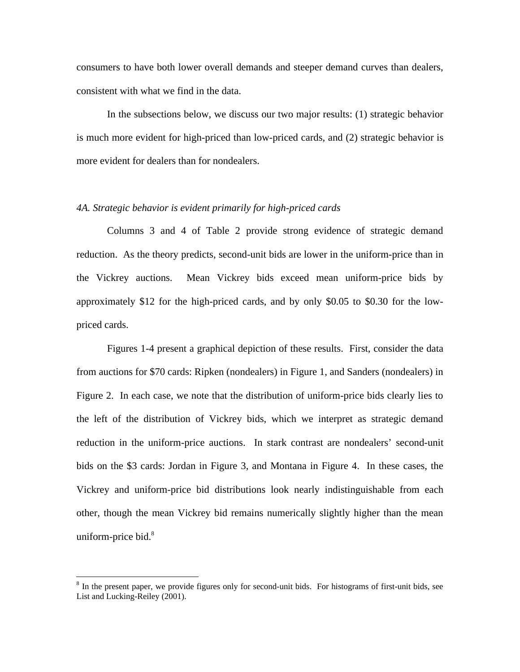consumers to have both lower overall demands and steeper demand curves than dealers, consistent with what we find in the data.

In the subsections below, we discuss our two major results: (1) strategic behavior is much more evident for high-priced than low-priced cards, and (2) strategic behavior is more evident for dealers than for nondealers.

### *4A. Strategic behavior is evident primarily for high-priced cards*

Columns 3 and 4 of Table 2 provide strong evidence of strategic demand reduction. As the theory predicts, second-unit bids are lower in the uniform-price than in the Vickrey auctions. Mean Vickrey bids exceed mean uniform-price bids by approximately \$12 for the high-priced cards, and by only \$0.05 to \$0.30 for the lowpriced cards.

Figures 1-4 present a graphical depiction of these results. First, consider the data from auctions for \$70 cards: Ripken (nondealers) in Figure 1, and Sanders (nondealers) in Figure 2. In each case, we note that the distribution of uniform-price bids clearly lies to the left of the distribution of Vickrey bids, which we interpret as strategic demand reduction in the uniform-price auctions. In stark contrast are nondealers' second-unit bids on the \$3 cards: Jordan in Figure 3, and Montana in Figure 4. In these cases, the Vickrey and uniform-price bid distributions look nearly indistinguishable from each other, though the mean Vickrey bid remains numerically slightly higher than the mean uniform-price bid. $8$ 

<sup>&</sup>lt;sup>8</sup> In the present paper, we provide figures only for second-unit bids. For histograms of first-unit bids, see List and Lucking-Reiley (2001).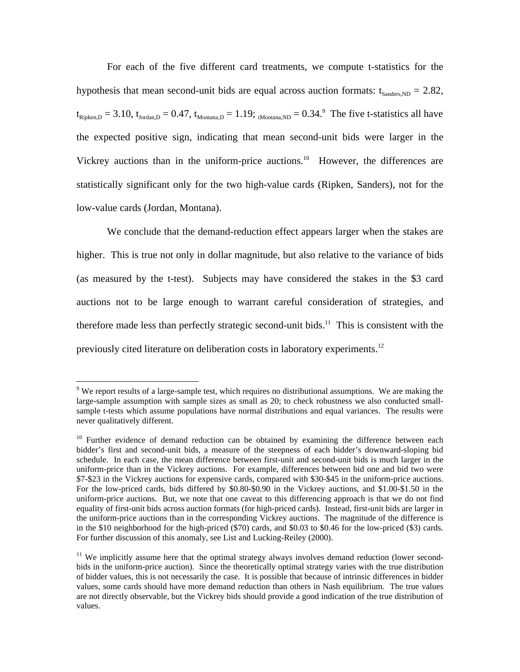For each of the five different card treatments, we compute t-statistics for the hypothesis that mean second-unit bids are equal across auction formats:  $t_{Sanders,ND} = 2.82$ ,  $t_{\text{Ripken,D}}$  = 3.10,  $t_{\text{Jordan,D}}$  = 0.47,  $t_{\text{Montana,D}}$  = 1.19; <sub>tMontana,ND</sub> = 0.34.<sup>9</sup> The five t-statistics all have the expected positive sign, indicating that mean second-unit bids were larger in the Vickrey auctions than in the uniform-price auctions.<sup>10</sup> However, the differences are statistically significant only for the two high-value cards (Ripken, Sanders), not for the low-value cards (Jordan, Montana).

We conclude that the demand-reduction effect appears larger when the stakes are higher. This is true not only in dollar magnitude, but also relative to the variance of bids (as measured by the t-test). Subjects may have considered the stakes in the \$3 card auctions not to be large enough to warrant careful consideration of strategies, and therefore made less than perfectly strategic second-unit bids.<sup>11</sup> This is consistent with the previously cited literature on deliberation costs in laboratory experiments.<sup>12</sup>

 $9$  We report results of a large-sample test, which requires no distributional assumptions. We are making the large-sample assumption with sample sizes as small as 20; to check robustness we also conducted smallsample t-tests which assume populations have normal distributions and equal variances. The results were never qualitatively different.

 $10$  Further evidence of demand reduction can be obtained by examining the difference between each bidder's first and second-unit bids, a measure of the steepness of each bidder's downward-sloping bid schedule. In each case, the mean difference between first-unit and second-unit bids is much larger in the uniform-price than in the Vickrey auctions. For example, differences between bid one and bid two were \$7-\$23 in the Vickrey auctions for expensive cards, compared with \$30-\$45 in the uniform-price auctions. For the low-priced cards, bids differed by \$0.80-\$0.90 in the Vickrey auctions, and \$1.00-\$1.50 in the uniform-price auctions. But, we note that one caveat to this differencing approach is that we do not find equality of first-unit bids across auction formats (for high-priced cards). Instead, first-unit bids are larger in the uniform-price auctions than in the corresponding Vickrey auctions. The magnitude of the difference is in the \$10 neighborhood for the high-priced (\$70) cards, and \$0.03 to \$0.46 for the low-priced (\$3) cards. For further discussion of this anomaly, see List and Lucking-Reiley (2000).

 $11$  We implicitly assume here that the optimal strategy always involves demand reduction (lower secondbids in the uniform-price auction). Since the theoretically optimal strategy varies with the true distribution of bidder values, this is not necessarily the case. It is possible that because of intrinsic differences in bidder values, some cards should have more demand reduction than others in Nash equilibrium. The true values are not directly observable, but the Vickrey bids should provide a good indication of the true distribution of values.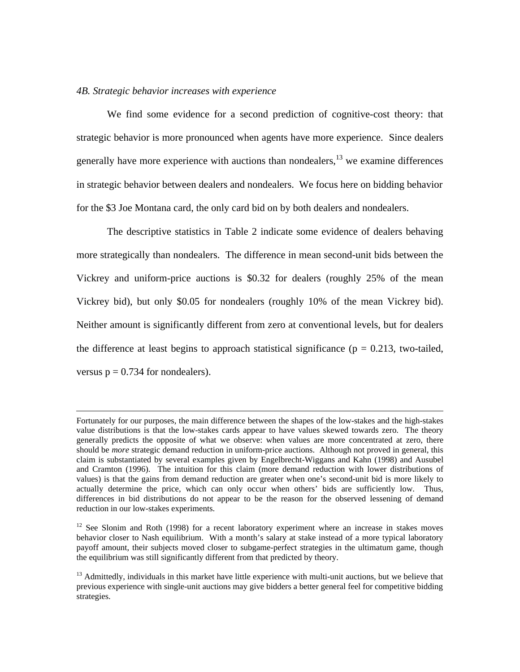### *4B. Strategic behavior increases with experience*

 $\overline{a}$ 

We find some evidence for a second prediction of cognitive-cost theory: that strategic behavior is more pronounced when agents have more experience. Since dealers generally have more experience with auctions than nondealers,  $13$  we examine differences in strategic behavior between dealers and nondealers. We focus here on bidding behavior for the \$3 Joe Montana card, the only card bid on by both dealers and nondealers.

The descriptive statistics in Table 2 indicate some evidence of dealers behaving more strategically than nondealers. The difference in mean second-unit bids between the Vickrey and uniform-price auctions is \$0.32 for dealers (roughly 25% of the mean Vickrey bid), but only \$0.05 for nondealers (roughly 10% of the mean Vickrey bid). Neither amount is significantly different from zero at conventional levels, but for dealers the difference at least begins to approach statistical significance ( $p = 0.213$ , two-tailed, versus  $p = 0.734$  for nondealers).

Fortunately for our purposes, the main difference between the shapes of the low-stakes and the high-stakes value distributions is that the low-stakes cards appear to have values skewed towards zero. The theory generally predicts the opposite of what we observe: when values are more concentrated at zero, there should be *more* strategic demand reduction in uniform-price auctions. Although not proved in general, this claim is substantiated by several examples given by Engelbrecht-Wiggans and Kahn (1998) and Ausubel and Cramton (1996). The intuition for this claim (more demand reduction with lower distributions of values) is that the gains from demand reduction are greater when one's second-unit bid is more likely to actually determine the price, which can only occur when others' bids are sufficiently low. Thus, differences in bid distributions do not appear to be the reason for the observed lessening of demand reduction in our low-stakes experiments.

<sup>&</sup>lt;sup>12</sup> See Slonim and Roth (1998) for a recent laboratory experiment where an increase in stakes moves behavior closer to Nash equilibrium. With a month's salary at stake instead of a more typical laboratory payoff amount, their subjects moved closer to subgame-perfect strategies in the ultimatum game, though the equilibrium was still significantly different from that predicted by theory.

<sup>&</sup>lt;sup>13</sup> Admittedly, individuals in this market have little experience with multi-unit auctions, but we believe that previous experience with single-unit auctions may give bidders a better general feel for competitive bidding strategies.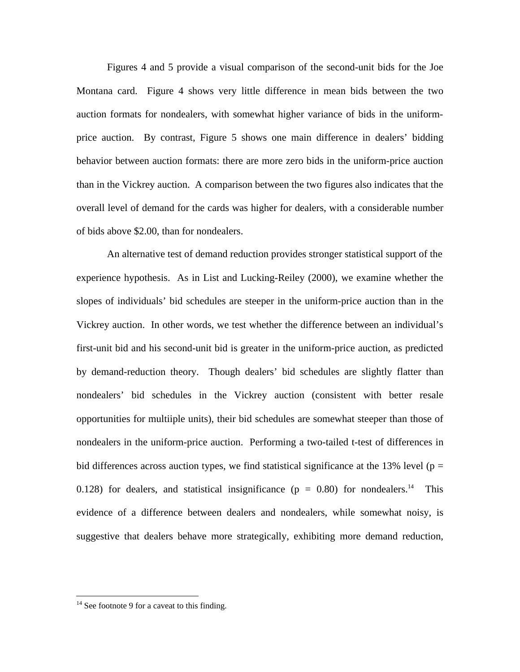Figures 4 and 5 provide a visual comparison of the second-unit bids for the Joe Montana card. Figure 4 shows very little difference in mean bids between the two auction formats for nondealers, with somewhat higher variance of bids in the uniformprice auction. By contrast, Figure 5 shows one main difference in dealers' bidding behavior between auction formats: there are more zero bids in the uniform-price auction than in the Vickrey auction. A comparison between the two figures also indicates that the overall level of demand for the cards was higher for dealers, with a considerable number of bids above \$2.00, than for nondealers.

An alternative test of demand reduction provides stronger statistical support of the experience hypothesis. As in List and Lucking-Reiley (2000), we examine whether the slopes of individuals' bid schedules are steeper in the uniform-price auction than in the Vickrey auction. In other words, we test whether the difference between an individual's first-unit bid and his second-unit bid is greater in the uniform-price auction, as predicted by demand-reduction theory. Though dealers' bid schedules are slightly flatter than nondealers' bid schedules in the Vickrey auction (consistent with better resale opportunities for multiiple units), their bid schedules are somewhat steeper than those of nondealers in the uniform-price auction. Performing a two-tailed t-test of differences in bid differences across auction types, we find statistical significance at the 13% level ( $p =$ 0.128) for dealers, and statistical insignificance ( $p = 0.80$ ) for nondealers.<sup>14</sup> This evidence of a difference between dealers and nondealers, while somewhat noisy, is suggestive that dealers behave more strategically, exhibiting more demand reduction,

 $14$  See footnote 9 for a caveat to this finding.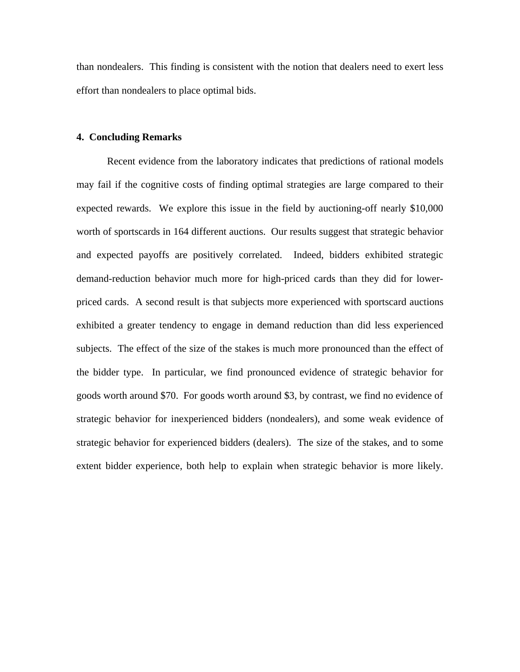than nondealers. This finding is consistent with the notion that dealers need to exert less effort than nondealers to place optimal bids.

### **4. Concluding Remarks**

Recent evidence from the laboratory indicates that predictions of rational models may fail if the cognitive costs of finding optimal strategies are large compared to their expected rewards. We explore this issue in the field by auctioning-off nearly \$10,000 worth of sportscards in 164 different auctions. Our results suggest that strategic behavior and expected payoffs are positively correlated. Indeed, bidders exhibited strategic demand-reduction behavior much more for high-priced cards than they did for lowerpriced cards. A second result is that subjects more experienced with sportscard auctions exhibited a greater tendency to engage in demand reduction than did less experienced subjects. The effect of the size of the stakes is much more pronounced than the effect of the bidder type. In particular, we find pronounced evidence of strategic behavior for goods worth around \$70. For goods worth around \$3, by contrast, we find no evidence of strategic behavior for inexperienced bidders (nondealers), and some weak evidence of strategic behavior for experienced bidders (dealers). The size of the stakes, and to some extent bidder experience, both help to explain when strategic behavior is more likely.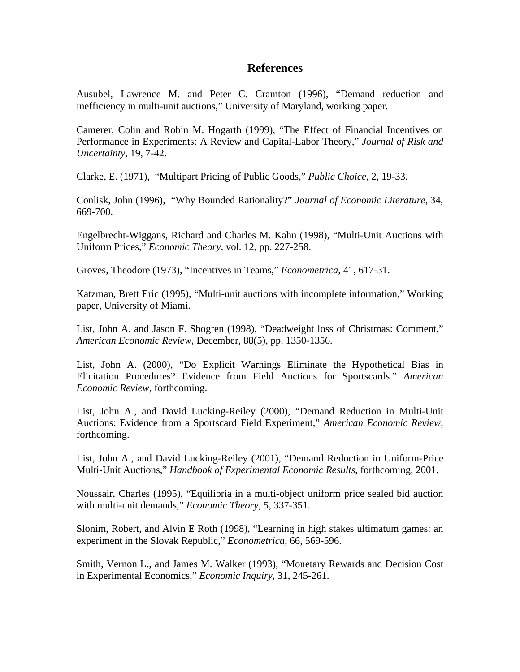### **References**

Ausubel, Lawrence M. and Peter C. Cramton (1996), "Demand reduction and inefficiency in multi-unit auctions," University of Maryland, working paper.

Camerer, Colin and Robin M. Hogarth (1999), "The Effect of Financial Incentives on Performance in Experiments: A Review and Capital-Labor Theory," *Journal of Risk and Uncertainty*, 19, 7-42.

Clarke, E. (1971), "Multipart Pricing of Public Goods," *Public Choice*, 2, 19-33.

Conlisk, John (1996), "Why Bounded Rationality?" *Journal of Economic Literature*, 34, 669-700.

Engelbrecht-Wiggans, Richard and Charles M. Kahn (1998), "Multi-Unit Auctions with Uniform Prices," *Economic Theory*, vol. 12, pp. 227-258.

Groves, Theodore (1973), "Incentives in Teams," *Econometrica*, 41, 617-31.

Katzman, Brett Eric (1995), "Multi-unit auctions with incomplete information," Working paper, University of Miami.

List, John A. and Jason F. Shogren (1998), "Deadweight loss of Christmas: Comment," *American Economic Review*, December, 88(5), pp. 1350-1356.

List, John A. (2000), "Do Explicit Warnings Eliminate the Hypothetical Bias in Elicitation Procedures? Evidence from Field Auctions for Sportscards." *American Economic Review,* forthcoming.

List, John A., and David Lucking-Reiley (2000), "Demand Reduction in Multi-Unit Auctions: Evidence from a Sportscard Field Experiment," *American Economic Review*, forthcoming.

List, John A., and David Lucking-Reiley (2001), "Demand Reduction in Uniform-Price Multi-Unit Auctions," *Handbook of Experimental Economic Results*, forthcoming, 2001.

Noussair, Charles (1995), "Equilibria in a multi-object uniform price sealed bid auction with multi-unit demands," *Economic Theory*, 5, 337-351.

Slonim, Robert, and Alvin E Roth (1998), "Learning in high stakes ultimatum games: an experiment in the Slovak Republic," *Econometrica*, 66, 569-596.

Smith, Vernon L., and James M. Walker (1993), "Monetary Rewards and Decision Cost in Experimental Economics," *Economic Inquiry*, 31, 245-261.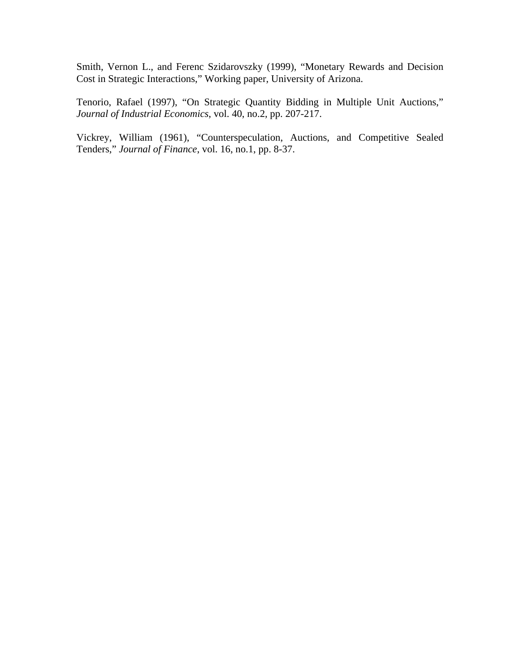Smith, Vernon L., and Ferenc Szidarovszky (1999), "Monetary Rewards and Decision Cost in Strategic Interactions," Working paper, University of Arizona.

Tenorio, Rafael (1997), "On Strategic Quantity Bidding in Multiple Unit Auctions," *Journal of Industrial Economics*, vol. 40, no.2, pp. 207-217.

Vickrey, William (1961), "Counterspeculation, Auctions, and Competitive Sealed Tenders," *Journal of Finance*, vol. 16, no.1, pp. 8-37.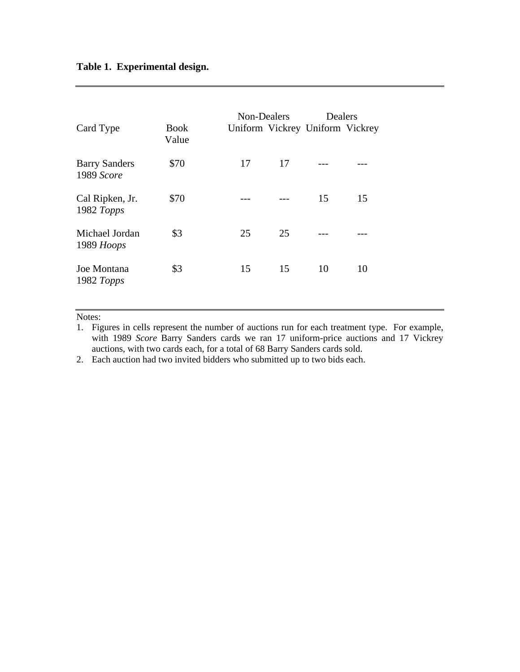# **Table 1. Experimental design.**

| Card Type                             | Book<br>Value | Non-Dealers |    | Dealers<br>Uniform Vickrey Uniform Vickrey |    |
|---------------------------------------|---------------|-------------|----|--------------------------------------------|----|
| <b>Barry Sanders</b><br>1989 Score    | \$70          | 17          | 17 |                                            |    |
| Cal Ripken, Jr.<br>1982 Topps         | \$70          |             |    | 15                                         | 15 |
| Michael Jordan<br>1989 Hoops          | \$3           | 25          | 25 |                                            |    |
| Joe Montana<br>1982 $T_{\text{opps}}$ | \$3           | 15          | 15 | 10                                         | 10 |

Notes:

2. Each auction had two invited bidders who submitted up to two bids each.

<sup>1.</sup> Figures in cells represent the number of auctions run for each treatment type. For example, with 1989 *Score* Barry Sanders cards we ran 17 uniform-price auctions and 17 Vickrey auctions, with two cards each, for a total of 68 Barry Sanders cards sold.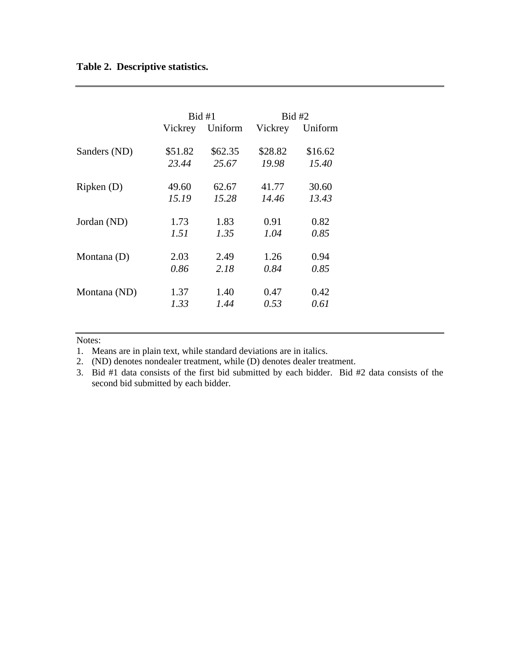# **Table 2. Descriptive statistics.**

|              | Bid #1  |         | Bid #2  |         |
|--------------|---------|---------|---------|---------|
|              | Vickrey | Uniform | Vickrey | Uniform |
| Sanders (ND) | \$51.82 | \$62.35 | \$28.82 | \$16.62 |
|              | 23.44   | 25.67   | 19.98   | 15.40   |
| Ripken(D)    | 49.60   | 62.67   | 41.77   | 30.60   |
|              | 15.19   | 15.28   | 14.46   | 13.43   |
| Jordan (ND)  | 1.73    | 1.83    | 0.91    | 0.82    |
|              | 1.51    | 1.35    | 1.04    | 0.85    |
| Montana (D)  | 2.03    | 2.49    | 1.26    | 0.94    |
|              | 0.86    | 2.18    | 0.84    | 0.85    |
| Montana (ND) | 1.37    | 1.40    | 0.47    | 0.42    |
|              | 1.33    | 1.44    | 0.53    | 0.61    |

#### Notes:

1. Means are in plain text, while standard deviations are in italics.

2. (ND) denotes nondealer treatment, while (D) denotes dealer treatment.

3. Bid #1 data consists of the first bid submitted by each bidder. Bid #2 data consists of the second bid submitted by each bidder.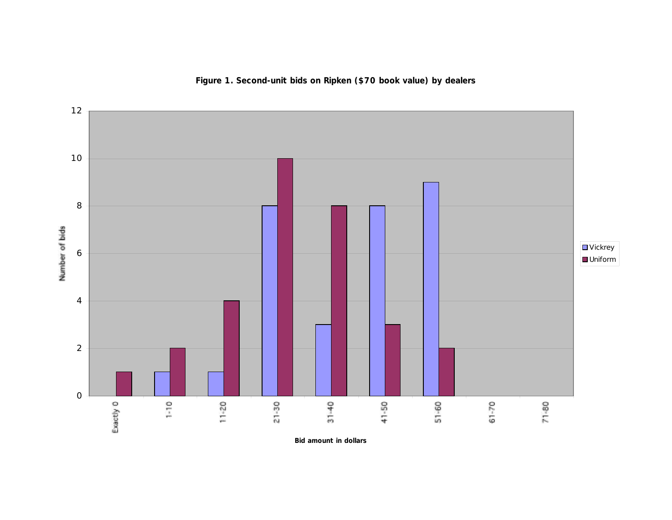

**Figure 1. Second-unit bids on Ripken (\$70 book value) by dealers**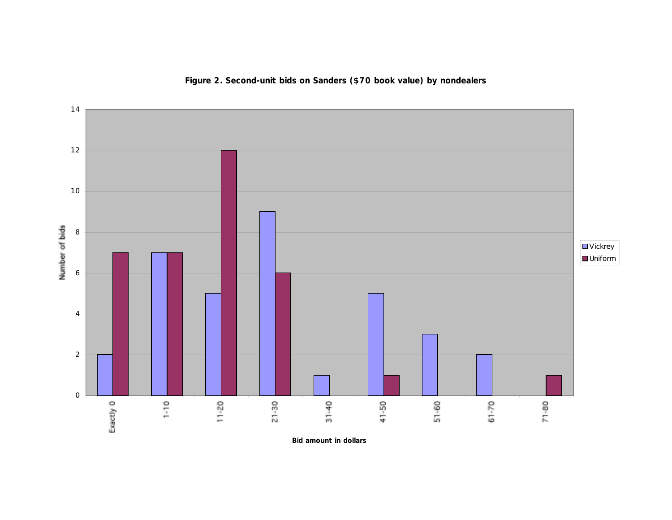

# **Figure 2. Second-unit bids on Sanders (\$70 book value) by nondealers**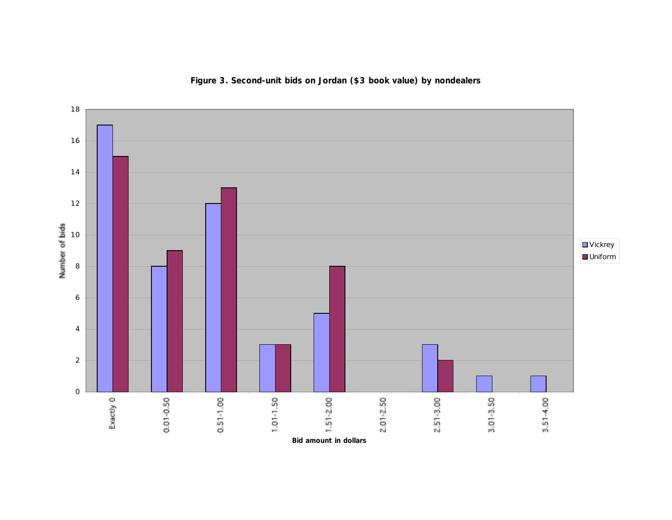

**Figure 3. Second-unit bids on Jordan (\$3 book value) by nondealers**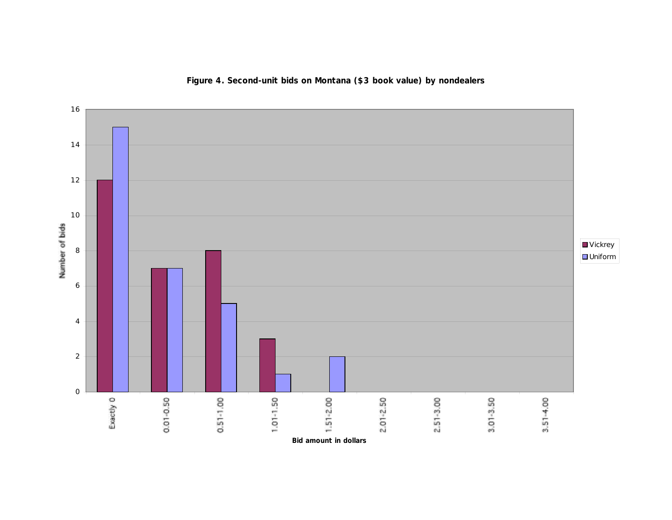

**Figure 4. Second-unit bids on Montana (\$3 book value) by nondealers**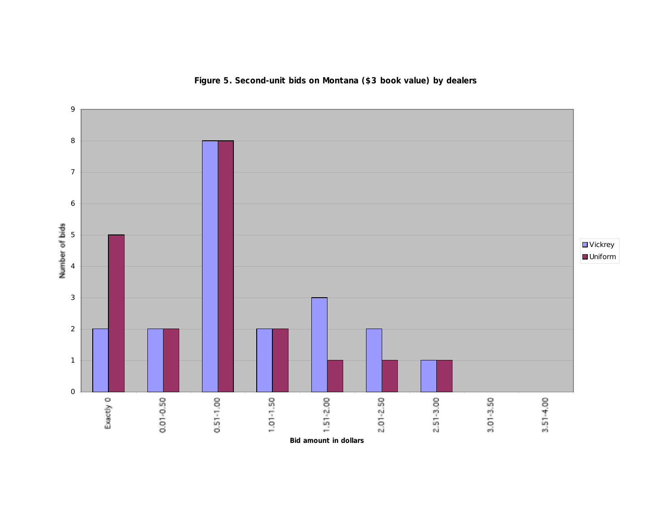

**Figure 5. Second-unit bids on Montana (\$3 book value) by dealers**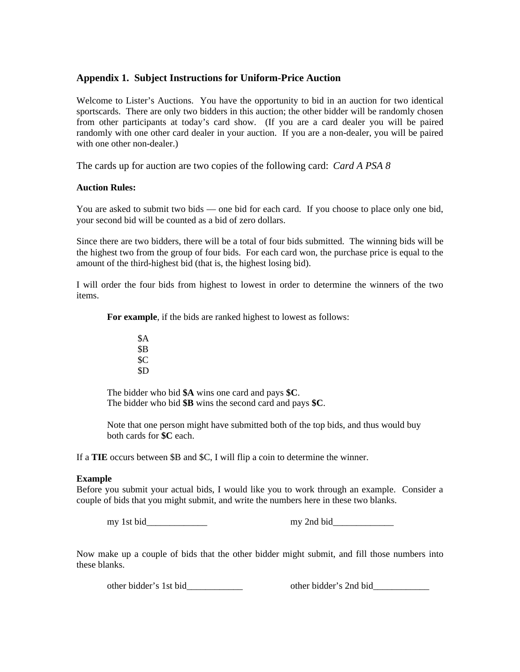### **Appendix 1. Subject Instructions for Uniform-Price Auction**

Welcome to Lister's Auctions. You have the opportunity to bid in an auction for two identical sportscards. There are only two bidders in this auction; the other bidder will be randomly chosen from other participants at today's card show. (If you are a card dealer you will be paired randomly with one other card dealer in your auction. If you are a non-dealer, you will be paired with one other non-dealer.)

The cards up for auction are two copies of the following card: *Card A PSA 8*

### **Auction Rules:**

You are asked to submit two bids — one bid for each card. If you choose to place only one bid, your second bid will be counted as a bid of zero dollars.

Since there are two bidders, there will be a total of four bids submitted. The winning bids will be the highest two from the group of four bids. For each card won, the purchase price is equal to the amount of the third-highest bid (that is, the highest losing bid).

I will order the four bids from highest to lowest in order to determine the winners of the two items.

**For example**, if the bids are ranked highest to lowest as follows:

\$A \$B \$C \$D

The bidder who bid **\$A** wins one card and pays **\$C**. The bidder who bid **\$B** wins the second card and pays **\$C**.

Note that one person might have submitted both of the top bids, and thus would buy both cards for **\$C** each.

If a **TIE** occurs between \$B and \$C, I will flip a coin to determine the winner.

### **Example**

Before you submit your actual bids, I would like you to work through an example. Consider a couple of bids that you might submit, and write the numbers here in these two blanks.

my 1st bid\_\_\_\_\_\_\_\_\_\_\_\_\_ my 2nd bid\_\_\_\_\_\_\_\_\_\_\_\_\_

Now make up a couple of bids that the other bidder might submit, and fill those numbers into these blanks.

other bidder's 1st bid\_\_\_\_\_\_\_\_\_\_\_\_\_\_\_\_\_\_\_ other bidder's 2nd bid\_\_\_\_\_\_\_\_\_\_\_\_\_\_\_\_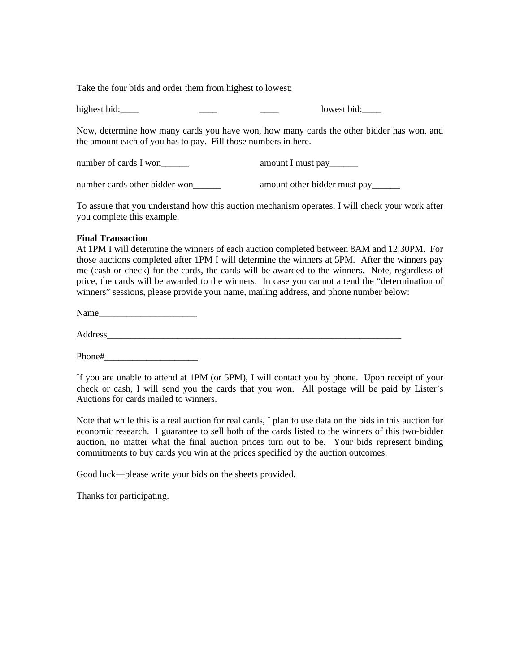Take the four bids and order them from highest to lowest:

highest bid:\_\_\_\_ \_\_\_\_ \_\_\_\_ lowest bid:\_\_\_\_

Now, determine how many cards you have won, how many cards the other bidder has won, and the amount each of you has to pay. Fill those numbers in here.

| number of cards I won         | amount I must pay_______     |
|-------------------------------|------------------------------|
| number cards other bidder won | amount other bidder must pay |

To assure that you understand how this auction mechanism operates, I will check your work after you complete this example.

### **Final Transaction**

At 1PM I will determine the winners of each auction completed between 8AM and 12:30PM. For those auctions completed after 1PM I will determine the winners at 5PM. After the winners pay me (cash or check) for the cards, the cards will be awarded to the winners. Note, regardless of price, the cards will be awarded to the winners. In case you cannot attend the "determination of winners" sessions, please provide your name, mailing address, and phone number below:

Name

Address\_\_\_\_\_\_\_\_\_\_\_\_\_\_\_\_\_\_\_\_\_\_\_\_\_\_\_\_\_\_\_\_\_\_\_\_\_\_\_\_\_\_\_\_\_\_\_\_\_\_\_\_\_\_\_\_\_\_\_\_\_\_\_

Phone#

If you are unable to attend at 1PM (or 5PM), I will contact you by phone. Upon receipt of your check or cash, I will send you the cards that you won. All postage will be paid by Lister's Auctions for cards mailed to winners.

Note that while this is a real auction for real cards, I plan to use data on the bids in this auction for economic research. I guarantee to sell both of the cards listed to the winners of this two-bidder auction, no matter what the final auction prices turn out to be. Your bids represent binding commitments to buy cards you win at the prices specified by the auction outcomes.

Good luck—please write your bids on the sheets provided.

Thanks for participating.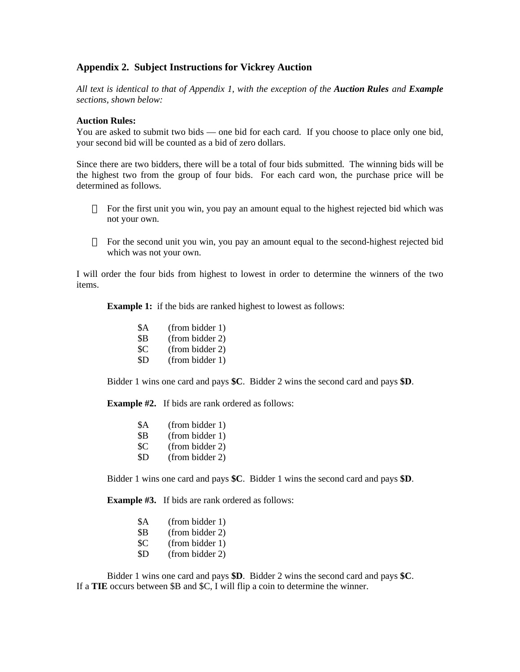### **Appendix 2. Subject Instructions for Vickrey Auction**

*All text is identical to that of Appendix 1, with the exception of the Auction Rules and Example sections, shown below:*

#### **Auction Rules:**

You are asked to submit two bids — one bid for each card. If you choose to place only one bid, your second bid will be counted as a bid of zero dollars.

Since there are two bidders, there will be a total of four bids submitted. The winning bids will be the highest two from the group of four bids. For each card won, the purchase price will be determined as follows.

For the first unit you win, you pay an amount equal to the highest rejected bid which was not your own.

For the second unit you win, you pay an amount equal to the second-highest rejected bid which was not your own.

I will order the four bids from highest to lowest in order to determine the winners of the two items.

**Example 1:** if the bids are ranked highest to lowest as follows:

| <b>\$A</b> | (from bidder 1) |
|------------|-----------------|
| \$B        | (from bidder 2) |
| \$C        | (from bidder 2) |
| \$D        | (from bidder 1) |

Bidder 1 wins one card and pays **\$C**. Bidder 2 wins the second card and pays **\$D**.

**Example #2.** If bids are rank ordered as follows:

| <b>\$A</b> | (from bidder 1) |
|------------|-----------------|
| \$B        | (from bidder 1) |
| \$C        | (from bidder 2) |
| \$D        | (from bidder 2) |

Bidder 1 wins one card and pays **\$C**. Bidder 1 wins the second card and pays **\$D**.

**Example #3.** If bids are rank ordered as follows:

| \$A | (from bidder 1) |
|-----|-----------------|
| \$B | (from bidder 2) |
| \$C | (from bidder 1) |
|     |                 |

\$D (from bidder 2)

Bidder 1 wins one card and pays **\$D**. Bidder 2 wins the second card and pays **\$C**. If a **TIE** occurs between \$B and \$C, I will flip a coin to determine the winner.